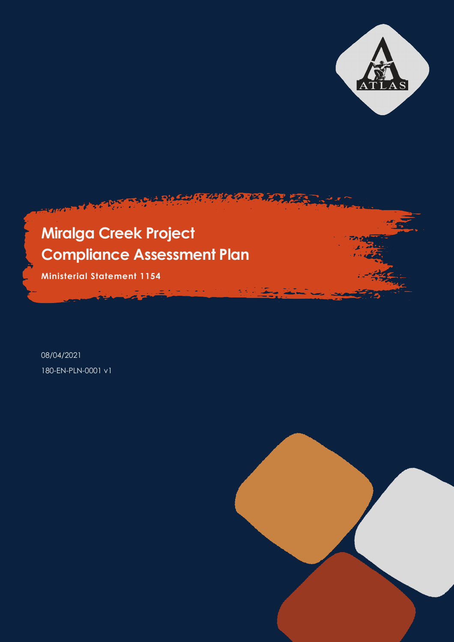

785777.22

้ะ

**Ministerial Statement 1154**

08/04/2021 180-EN-PLN-0001 v1

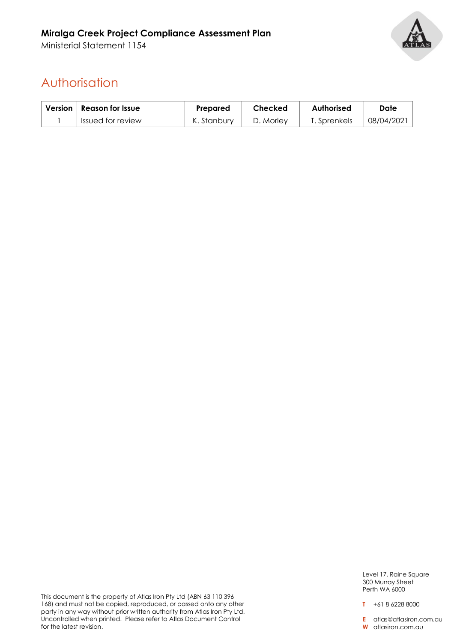Ministerial Statement 1154



# Authorisation

| Version   Reason for Issue | Prepared    | Checked   | Authorised   | Date       |
|----------------------------|-------------|-----------|--------------|------------|
| Issued for review          | K. Stanbury | D. Morley | T. Sprenkels | 108/04/202 |

This document is the property of Atlas Iron Pty Ltd (ABN 63 110 396 168) and must not be copied, reproduced, or passed onto any other party in any way without prior written authority from Atlas Iron Pty Ltd. Uncontrolled when printed. Please refer to Atlas Document Control for the latest revision.

Level 17, Raine Square 300 Murray Street Perth WA 6000

**T** +61 8 6228 8000

**E** atlas@atlasiron.com.au

**W** atlasiron.com.au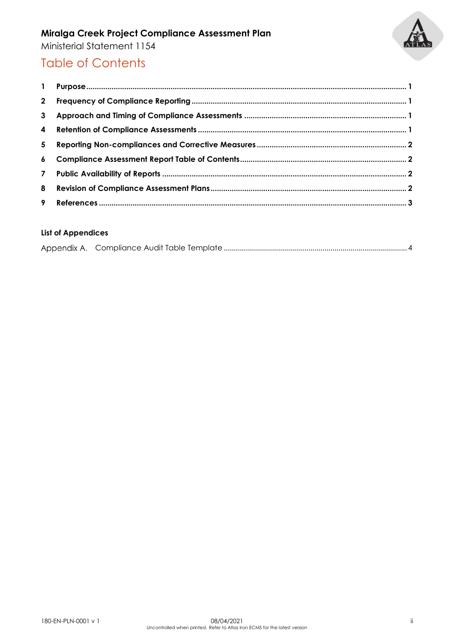

Ministerial Statement 1154

## Table of Contents

#### **List of Appendices**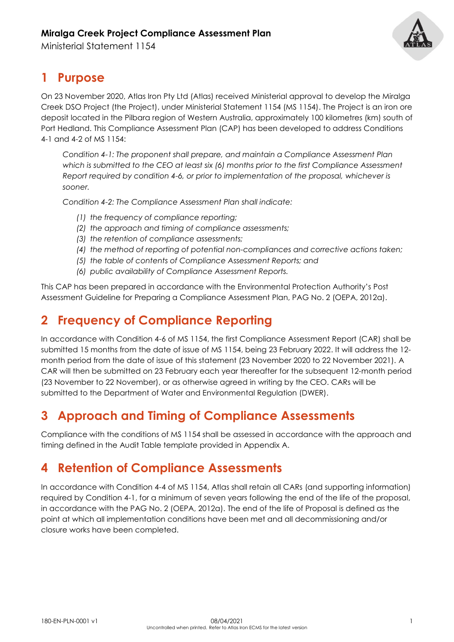Ministerial Statement 1154



### **1 Purpose**

On 23 November 2020, Atlas Iron Pty Ltd (Atlas) received Ministerial approval to develop the Miralga Creek DSO Project (the Project), under Ministerial Statement 1154 (MS 1154). The Project is an iron ore deposit located in the Pilbara region of Western Australia, approximately 100 kilometres (km) south of Port Hedland. This Compliance Assessment Plan (CAP) has been developed to address Conditions 4-1 and 4-2 of MS 1154:

*Condition 4-1: The proponent shall prepare, and maintain a Compliance Assessment Plan which is submitted to the CEO at least six (6) months prior to the first Compliance Assessment Report required by condition 4-6, or prior to implementation of the proposal, whichever is sooner.* 

*Condition 4-2: The Compliance Assessment Plan shall indicate:* 

- *(1) the frequency of compliance reporting;*
- *(2) the approach and timing of compliance assessments;*
- *(3) the retention of compliance assessments;*
- *(4) the method of reporting of potential non-compliances and corrective actions taken;*
- *(5) the table of contents of Compliance Assessment Reports; and*
- *(6) public availability of Compliance Assessment Reports.*

This CAP has been prepared in accordance with the Environmental Protection Authority's Post Assessment Guideline for Preparing a Compliance Assessment Plan, PAG No. 2 (OEPA, 2012a).

# **2 Frequency of Compliance Reporting**

In accordance with Condition 4-6 of MS 1154, the first Compliance Assessment Report (CAR) shall be submitted 15 months from the date of issue of MS 1154, being 23 February 2022. It will address the 12 month period from the date of issue of this statement (23 November 2020 to 22 November 2021). A CAR will then be submitted on 23 February each year thereafter for the subsequent 12-month period (23 November to 22 November), or as otherwise agreed in writing by the CEO. CARs will be submitted to the Department of Water and Environmental Regulation (DWER).

### **3 Approach and Timing of Compliance Assessments**

Compliance with the conditions of MS 1154 shall be assessed in accordance with the approach and timing defined in the Audit Table template provided in Appendix A.

### **4 Retention of Compliance Assessments**

In accordance with Condition 4-4 of MS 1154, Atlas shall retain all CARs (and supporting information) required by Condition 4-1, for a minimum of seven years following the end of the life of the proposal, in accordance with the PAG No. 2 (OEPA, 2012a). The end of the life of Proposal is defined as the point at which all implementation conditions have been met and all decommissioning and/or closure works have been completed.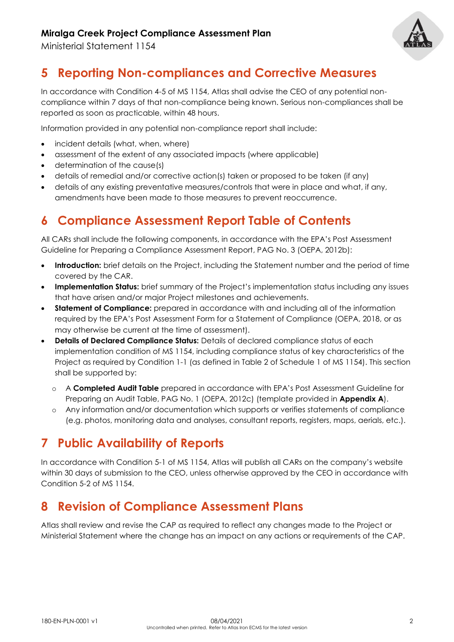Ministerial Statement 1154



## **5 Reporting Non-compliances and Corrective Measures**

In accordance with Condition 4-5 of MS 1154, Atlas shall advise the CEO of any potential noncompliance within 7 days of that non-compliance being known. Serious non-compliances shall be reported as soon as practicable, within 48 hours.

Information provided in any potential non-compliance report shall include:

- incident details (what, when, where)
- assessment of the extent of any associated impacts (where applicable)
- determination of the cause(s)
- details of remedial and/or corrective action(s) taken or proposed to be taken (if any)
- details of any existing preventative measures/controls that were in place and what, if any, amendments have been made to those measures to prevent reoccurrence.

## **6 Compliance Assessment Report Table of Contents**

All CARs shall include the following components, in accordance with the EPA's Post Assessment Guideline for Preparing a Compliance Assessment Report, PAG No. 3 (OEPA, 2012b):

- **Introduction:** brief details on the Project, including the Statement number and the period of time covered by the CAR.
- **Implementation Status:** brief summary of the Project's implementation status including any issues that have arisen and/or major Project milestones and achievements.
- **Statement of Compliance:** prepared in accordance with and including all of the information required by the EPA's Post Assessment Form for a Statement of Compliance (OEPA, 2018, or as may otherwise be current at the time of assessment).
- **Details of Declared Compliance Status:** Details of declared compliance status of each implementation condition of MS 1154, including compliance status of key characteristics of the Project as required by Condition 1-1 (as defined in Table 2 of Schedule 1 of MS 1154). This section shall be supported by:
	- o A **Completed Audit Table** prepared in accordance with EPA's Post Assessment Guideline for Preparing an Audit Table, PAG No. 1 (OEPA, 2012c) (template provided in **Appendix A**).
	- o Any information and/or documentation which supports or verifies statements of compliance (e.g. photos, monitoring data and analyses, consultant reports, registers, maps, aerials, etc.).

### **7 Public Availability of Reports**

In accordance with Condition 5-1 of MS 1154, Atlas will publish all CARs on the company's website within 30 days of submission to the CEO, unless otherwise approved by the CEO in accordance with Condition 5-2 of MS 1154.

#### **8 Revision of Compliance Assessment Plans**

Atlas shall review and revise the CAP as required to reflect any changes made to the Project or Ministerial Statement where the change has an impact on any actions or requirements of the CAP.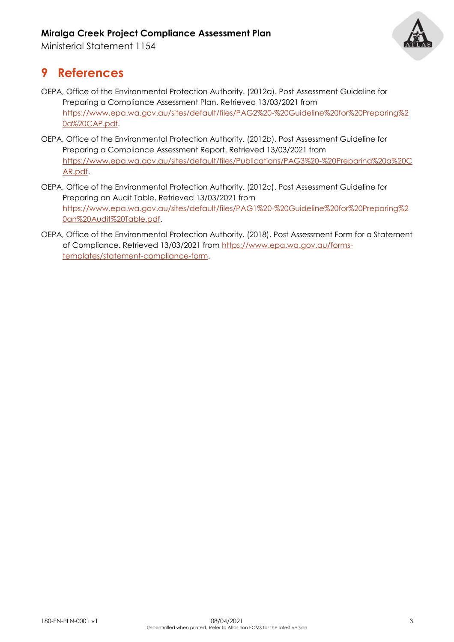Ministerial Statement 1154



#### **9 References**

- OEPA, Office of the Environmental Protection Authority. (2012a). Post Assessment Guideline for Preparing a Compliance Assessment Plan. Retrieved 13/03/2021 from [https://www.epa.wa.gov.au/sites/default/files/PAG2%20-%20Guideline%20for%20Preparing%2](https://www.epa.wa.gov.au/sites/default/files/PAG2%20-%20Guideline%20for%20Preparing%20a%20CAP.pdf) [0a%20CAP.pdf.](https://www.epa.wa.gov.au/sites/default/files/PAG2%20-%20Guideline%20for%20Preparing%20a%20CAP.pdf)
- OEPA, Office of the Environmental Protection Authority. (2012b). Post Assessment Guideline for Preparing a Compliance Assessment Report. Retrieved 13/03/2021 from [https://www.epa.wa.gov.au/sites/default/files/Publications/PAG3%20-%20Preparing%20a%20C](https://www.epa.wa.gov.au/sites/default/files/Publications/PAG3%20-%20Preparing%20a%20CAR.pdf) [AR.pdf.](https://www.epa.wa.gov.au/sites/default/files/Publications/PAG3%20-%20Preparing%20a%20CAR.pdf)
- OEPA, Office of the Environmental Protection Authority. (2012c). Post Assessment Guideline for Preparing an Audit Table. Retrieved 13/03/2021 from [https://www.epa.wa.gov.au/sites/default/files/PAG1%20-%20Guideline%20for%20Preparing%2](https://www.epa.wa.gov.au/sites/default/files/PAG1%20-%20Guideline%20for%20Preparing%20an%20Audit%20Table.pdf) [0an%20Audit%20Table.pdf.](https://www.epa.wa.gov.au/sites/default/files/PAG1%20-%20Guideline%20for%20Preparing%20an%20Audit%20Table.pdf)
- OEPA, Office of the Environmental Protection Authority. (2018). Post Assessment Form for a Statement of Compliance. Retrieved 13/03/2021 from [https://www.epa.wa.gov.au/forms](https://www.epa.wa.gov.au/forms-templates/statement-compliance-form)[templates/statement-compliance-form.](https://www.epa.wa.gov.au/forms-templates/statement-compliance-form)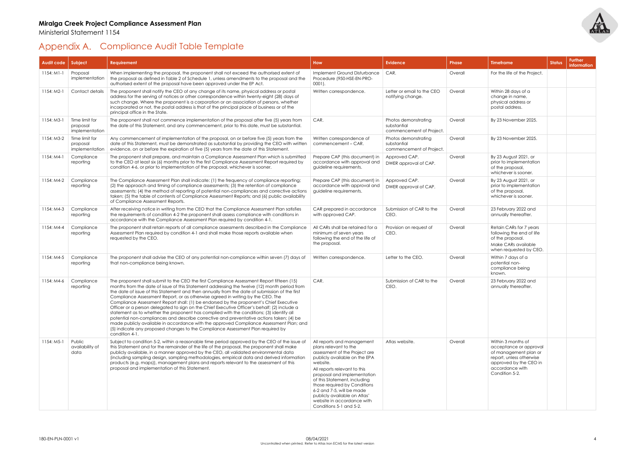Ministerial Statement 1154

# <span id="page-6-0"></span>Appendix A. Compliance Audit Table Template



| Audit code   | Subject                                      | Requirement                                                                                                                                                                                                                                                                                                                                                                                                                                                                                                                                                                                                                                                                                                                                                                                                                                                                                                                                                      | <b>How</b>                                                                                                                                                                                                                                                                                                                                                                             | <b>Evidence</b>                                                 | <b>Phase</b> | <b>Timeframe</b>                                                                                                                                                 | <b>Status</b> |
|--------------|----------------------------------------------|------------------------------------------------------------------------------------------------------------------------------------------------------------------------------------------------------------------------------------------------------------------------------------------------------------------------------------------------------------------------------------------------------------------------------------------------------------------------------------------------------------------------------------------------------------------------------------------------------------------------------------------------------------------------------------------------------------------------------------------------------------------------------------------------------------------------------------------------------------------------------------------------------------------------------------------------------------------|----------------------------------------------------------------------------------------------------------------------------------------------------------------------------------------------------------------------------------------------------------------------------------------------------------------------------------------------------------------------------------------|-----------------------------------------------------------------|--------------|------------------------------------------------------------------------------------------------------------------------------------------------------------------|---------------|
| $1154:$ M1-1 | Proposal<br>implementation                   | When implementing the proposal, the proponent shall not exceed the authorised extent of<br>the proposal as defined in Table 2 of Schedule 1, unless amendments to the proposal and the<br>authorised extent of the proposal have been approved under the EP Act.                                                                                                                                                                                                                                                                                                                                                                                                                                                                                                                                                                                                                                                                                                 | Implement Ground Disturbance<br>Procedure (950-HSE-EN-PRO-<br>$0001$ ).                                                                                                                                                                                                                                                                                                                | CAR.                                                            | Overall      | For the life of the Project.                                                                                                                                     |               |
| $1154: M2-1$ | Contact details                              | The proponent shall notify the CEO of any change of its name, physical address or postal<br>address for the serving of notices or other correspondence within twenty-eight (28) days of<br>such change. Where the proponent is a corporation or an association of persons, whether<br>incorporated or not, the postal address is that of the principal place of business or of the<br>principal office in the State.                                                                                                                                                                                                                                                                                                                                                                                                                                                                                                                                             | Written correspondence.                                                                                                                                                                                                                                                                                                                                                                | Letter or email to the CEO<br>notifying change.                 | Overall      | Within 28 days of a<br>change in name,<br>physical address or<br>postal address.                                                                                 |               |
| $1154: M3-1$ | Time limit for<br>proposal<br>implementation | The proponent shall not commence implementation of the proposal after five (5) years from<br>the date of this Statement, and any commencement, prior to this date, must be substantial.                                                                                                                                                                                                                                                                                                                                                                                                                                                                                                                                                                                                                                                                                                                                                                          | CAR.                                                                                                                                                                                                                                                                                                                                                                                   | Photos demonstrating<br>substantial<br>commencement of Project. | Overall      | By 23 November 2025.                                                                                                                                             |               |
| 1154: M3-2   | Time limit for<br>proposal<br>implementation | Any commencement of implementation of the proposal, on or before five (5) years from the<br>date of this Statement, must be demonstrated as substantial by providing the CEO with written<br>evidence, on or before the expiration of five (5) years from the date of this Statement.                                                                                                                                                                                                                                                                                                                                                                                                                                                                                                                                                                                                                                                                            | Written correspondence of<br>commencement - CAR.                                                                                                                                                                                                                                                                                                                                       | Photos demonstrating<br>substantial<br>commencement of Project. | Overall      | By 23 November 2025.                                                                                                                                             |               |
| $1154:MA-1$  | Compliance<br>reporting                      | The proponent shall prepare, and maintain a Compliance Assessment Plan which is submitted<br>to the CEO at least six (6) months prior to the first Compliance Assessment Report required by<br>condition 4-6, or prior to implementation of the proposal, whichever is sooner.                                                                                                                                                                                                                                                                                                                                                                                                                                                                                                                                                                                                                                                                                   | Prepare CAP (this document) in<br>accordance with approval and<br>guideline requirements.                                                                                                                                                                                                                                                                                              | Approved CAP.<br>DWER approval of CAP.                          | Overall      | By 23 August 2021, or<br>prior to implementation<br>of the proposal,<br>whichever is sooner.                                                                     |               |
| 1154: M4-2   | Compliance<br>reporting                      | The Compliance Assessment Plan shall indicate: (1) the frequency of compliance reporting;<br>(2) the approach and timing of compliance assessments; (3) the retention of compliance<br>assessments; (4) the method of reporting of potential non-compliances and corrective actions<br>taken; (5) the table of contents of Compliance Assessment Reports; and (6) public availability<br>of Compliance Assessment Reports.                                                                                                                                                                                                                                                                                                                                                                                                                                                                                                                                       | Prepare CAP (this document) in<br>accordance with approval and<br>quideline requirements.                                                                                                                                                                                                                                                                                              | Approved CAP.<br>DWER approval of CAP.                          | Overall      | By 23 August 2021, or<br>prior to implementation<br>of the proposal,<br>whichever is sooner.                                                                     |               |
| 1154: M4-3   | Compliance<br>reporting                      | After receiving notice in writing from the CEO that the Compliance Assessment Plan satisfies<br>the requirements of condition 4-2 the proponent shall assess compliance with conditions in<br>accordance with the Compliance Assessment Plan required by condition 4-1.                                                                                                                                                                                                                                                                                                                                                                                                                                                                                                                                                                                                                                                                                          | CAR prepared in accordance<br>with approved CAP.                                                                                                                                                                                                                                                                                                                                       | Submission of CAR to the<br>CEO.                                | Overall      | 23 February 2022 and<br>annually thereafter.                                                                                                                     |               |
| 1154: M4-4   | Compliance<br>reporting                      | The proponent shall retain reports of all compliance assessments described in the Compliance<br>Assessment Plan required by condition 4-1 and shall make those reports available when<br>requested by the CEO.                                                                                                                                                                                                                                                                                                                                                                                                                                                                                                                                                                                                                                                                                                                                                   | All CARs shall be retained for a<br>minimum of seven years<br>following the end of the life of<br>the proposal.                                                                                                                                                                                                                                                                        | Provision on request of<br>CEO.                                 | Overall      | Retain CARs for 7 years<br>following the end of life<br>of the proposal.<br>Make CARs available<br>when requested by CEO.                                        |               |
| 1154: M4-5   | Compliance<br>reporting                      | The proponent shall advise the CEO of any potential non-compliance within seven (7) days of<br>that non-compliance being known.                                                                                                                                                                                                                                                                                                                                                                                                                                                                                                                                                                                                                                                                                                                                                                                                                                  | Written correspondence.                                                                                                                                                                                                                                                                                                                                                                | Letter to the CEO.                                              | Overall      | Within 7 days of a<br>potential non-<br>compliance being<br>known.                                                                                               |               |
| 1154: M4-6   | Compliance<br>reporting                      | The proponent shall submit to the CEO the first Compliance Assessment Report fifteen (15)<br>months from the date of issue of this Statement addressing the twelve (12) month period from<br>the date of issue of this Statement and then annually from the date of submission of the first<br>Compliance Assessment Report, or as otherwise agreed in writing by the CEO. The<br>Compliance Assessment Report shall: (1) be endorsed by the proponent's Chief Executive<br>Officer or a person delegated to sign on the Chief Executive Officer's behalf; (2) include a<br>statement as to whether the proponent has complied with the conditions; (3) identify all<br>potential non-compliances and describe corrective and preventative actions taken; (4) be<br>made publicly available in accordance with the approved Compliance Assessment Plan; and<br>(5) indicate any proposed changes to the Compliance Assessment Plan required by<br>condition 4-1. | CAR.                                                                                                                                                                                                                                                                                                                                                                                   | Submission of CAR to the<br>CEO.                                | Overall      | 23 February 2022 and<br>annually thereafter.                                                                                                                     |               |
| $1154: M5-1$ | Public<br>availability of<br>data            | Subject to condition 5-2, within a reasonable time period approved by the CEO of the issue of<br>this Statement and for the remainder of the life of the proposal, the proponent shall make<br>publicly available, in a manner approved by the CEO, all validated environmental data<br>(including sampling design, sampling methodologies, empirical data and derived information<br>products (e.g. maps)), management plans and reports relevant to the assessment of this<br>proposal and implementation of this Statement.                                                                                                                                                                                                                                                                                                                                                                                                                                   | All reports and management<br>plans relevant to the<br>assessment of the Project are<br>publicly available on the EPA<br>website.<br>All reports relevant to this<br>proposal and implementation<br>of this Statement, including<br>those required by Conditions<br>6-2 and 7-5, will be made<br>publicly available on Atlas'<br>website in accordance with<br>Conditions 5-1 and 5-2. | Atlas website.                                                  | Overall      | Within 3 months of<br>acceptance or approval<br>of management plan or<br>report, unless otherwise<br>approved by the CEO in<br>accordance with<br>Condition 5-2. |               |

| Phase   | <b>Timeframe</b>                                                                                                                                                 | <b>Status</b> | <b>Further</b> |
|---------|------------------------------------------------------------------------------------------------------------------------------------------------------------------|---------------|----------------|
|         |                                                                                                                                                                  |               | information    |
| Overall | For the life of the Project.                                                                                                                                     |               |                |
| Overall | Within 28 days of a<br>change in name,<br>physical address or<br>postal address.                                                                                 |               |                |
| Overall | By 23 November 2025.                                                                                                                                             |               |                |
| Overall | By 23 November 2025.                                                                                                                                             |               |                |
| Overall | By 23 August 2021, or<br>prior to implementation<br>of the proposal,<br>whichever is sooner.                                                                     |               |                |
| Overall | By 23 August 2021, or<br>prior to implementation<br>of the proposal,<br>whichever is sooner.                                                                     |               |                |
| Overall | 23 February 2022 and<br>annually thereafter.                                                                                                                     |               |                |
| Overall | Retain CARs for 7 years<br>following the end of life<br>of the proposal.<br>Make CARs available<br>when requested by CEO.                                        |               |                |
| Overall | Within 7 days of a<br>potential non-<br>compliance being<br>known.                                                                                               |               |                |
| Overall | 23 February 2022 and<br>annually thereafter.                                                                                                                     |               |                |
| Overall | Within 3 months of<br>acceptance or approval<br>of management plan or<br>report, unless otherwise<br>approved by the CEO in<br>accordance with<br>Condition 5-2. |               |                |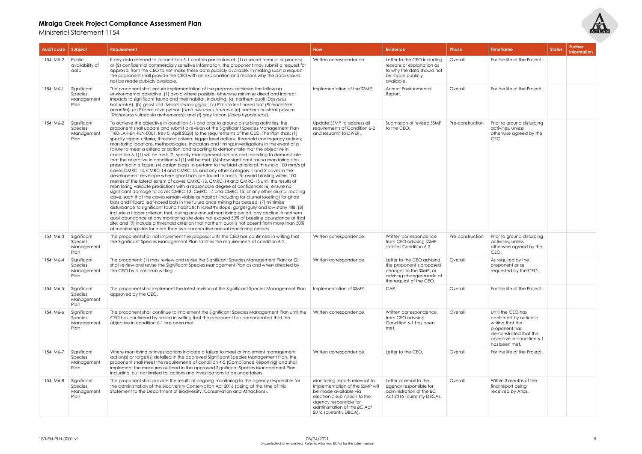Ministerial Statement 1154

| Audit code               | Subject                                                                       | <b>Requirement</b>                                                                                                                                                                                                                                                                                                                                                                                                                                                                                                                                                                                                                                                                                                                                                                                                                                                                                                                                                                                                                                                                                                                                                                                                                                                                                                                                                                                                                                                                                                                                                                                                                                                                                                                                                                                                                                                                                                                                                                                                                                                                                                                                                                                                                | <b>How</b>                                                                                                                                                                                                     | <b>Evidence</b>                                                                                                          | <b>Phase</b>                         | <b>Timeframe</b>                                                                                                                                         | <b>Status</b> |
|--------------------------|-------------------------------------------------------------------------------|-----------------------------------------------------------------------------------------------------------------------------------------------------------------------------------------------------------------------------------------------------------------------------------------------------------------------------------------------------------------------------------------------------------------------------------------------------------------------------------------------------------------------------------------------------------------------------------------------------------------------------------------------------------------------------------------------------------------------------------------------------------------------------------------------------------------------------------------------------------------------------------------------------------------------------------------------------------------------------------------------------------------------------------------------------------------------------------------------------------------------------------------------------------------------------------------------------------------------------------------------------------------------------------------------------------------------------------------------------------------------------------------------------------------------------------------------------------------------------------------------------------------------------------------------------------------------------------------------------------------------------------------------------------------------------------------------------------------------------------------------------------------------------------------------------------------------------------------------------------------------------------------------------------------------------------------------------------------------------------------------------------------------------------------------------------------------------------------------------------------------------------------------------------------------------------------------------------------------------------|----------------------------------------------------------------------------------------------------------------------------------------------------------------------------------------------------------------|--------------------------------------------------------------------------------------------------------------------------|--------------------------------------|----------------------------------------------------------------------------------------------------------------------------------------------------------|---------------|
| 1154: M5-2               | Public<br>availability of<br>data                                             | If any data referred to in condition 5-1 contain particulars of: (1) a secret formula or process;<br>or (2) confidential commercially sensitive information, the proponent may submit a request for<br>approval from the CEO to not make these data publicly available. In making such a request<br>the proponent shall provide the CEO with an explanation and reasons why the data should<br>not be made publicly available.                                                                                                                                                                                                                                                                                                                                                                                                                                                                                                                                                                                                                                                                                                                                                                                                                                                                                                                                                                                                                                                                                                                                                                                                                                                                                                                                                                                                                                                                                                                                                                                                                                                                                                                                                                                                    | Written correspondence.                                                                                                                                                                                        | Letter to the CEO including<br>reasons or explanation as<br>to why the data should not<br>be made publicly<br>available. | Overall                              | For the life of the Project.                                                                                                                             |               |
| $1154: M6-1$             | Significant<br>Species<br>Management<br>Plan                                  | The proponent shall ensure implementation of the proposal achieves the following<br>environmental objective: (1) avoid where possible, otherwise minimise direct and indirect<br>impacts to significant fauna and their habitat, including: (a) northern quoll (Dasyurus<br>hallucatus); (b) ghost bat (Macroderma gigas); (c) Pilbara leaf-nosed bat (Rhinonicteris<br>aurantia); (d) Pilbara olive python (Liasis olivaceus barroni); (e) northern brushtail possum<br>(Trichosurus vulpecula arnhemensis); and (f) grey falcon (Falco hypoleucos).                                                                                                                                                                                                                                                                                                                                                                                                                                                                                                                                                                                                                                                                                                                                                                                                                                                                                                                                                                                                                                                                                                                                                                                                                                                                                                                                                                                                                                                                                                                                                                                                                                                                             | Implementation of the SSMP.                                                                                                                                                                                    | Annual Environmental<br>Report.                                                                                          | Overall                              | For the life of the Project.                                                                                                                             |               |
| 1154: M6-2<br>1154: M6-3 | Significant<br><b>Species</b><br>Management<br>Plan<br>Significant<br>Species | To achieve the objective in condition 6-1 and prior to ground disturbing activities, the<br>proponent shall update and submit a revision of the Significant Species Management Plan<br>(180-LAH-EN-PLN-0001, Rev 0, April 2020) to the requirements of the CEO. The Plan shall: (1)<br>specify trigger criteria; threshold criteria; trigger level actions; threshold contingency actions;<br>monitoring locations, methodologies, indicators and timing; investigations in the event of a<br>failure to meet a criteria or action; and reporting to demonstrate that the objective in<br>condition 6-1(1) will be met; (2) specify management actions and reporting to demonstrate<br>that the objective in condition 6-1(1) will be met; (3) show significant fauna monitoring sites<br>presented in a figure; (4) design blasts to perform to the blast criteria at threshold 100 mm/s at<br>caves CMRC-13, CMRC-14 and CMRC-15, and any other category 1 and 2 caves in the<br>development envelope where ghost bats are found to roost; (5) avoid blasting within 100<br>metres of the lateral extent of caves CMRC-13, CMRC-14 and CMRC-15 until the results of<br>monitoring validate predictions with a reasonable degree of confidence; (6) ensure no<br>significant damage to caves CMRC-13, CMRC-14 and CMRC-15, or any other diurnal roosting<br>cave, such that the caves remain viable as habitat (including for diurnal roosting) for ghost<br>bats and Pilbara leaf-nosed bats in the future once mining has ceased; (7) minimise<br>disturbance to significant fauna habitats; hillcrest/hillslope, gorge/gully and low stony hills; (8)<br>include a trigger criterion that, during any annual monitoring period, any decline in northern<br>quoll abundance at any monitoring site does not exceed 50% of baseline abundance at that<br>site; and (9) include a threshold criterion that northern quoll is not absent from more than 50%<br>of monitoring sites for more than two consecutive annual monitoring periods.<br>The proponent shall not implement the proposal until the CEO has confirmed in writing that<br>the Significant Species Management Plan satisfies the requirements of condition 6-2. | Update SSMP to address all<br>requirements of Condition 6-2<br>and resubmit to DWER.<br>Written correspondence.                                                                                                | Submission of revised SSMP<br>to the CEO.<br>Written correspondence<br>from CEO advising SSMP                            | Pre-construction<br>Pre-construction | Prior to ground disturbing<br>activities, unless<br>otherwise agreed by the<br>CEO.<br>Prior to ground disturbing<br>activities, unless                  |               |
| 1154: M6-4               | Management<br>Plan<br>Significant                                             | The proponent: (1) may review and revise the Significant Species Management Plan; or (2)                                                                                                                                                                                                                                                                                                                                                                                                                                                                                                                                                                                                                                                                                                                                                                                                                                                                                                                                                                                                                                                                                                                                                                                                                                                                                                                                                                                                                                                                                                                                                                                                                                                                                                                                                                                                                                                                                                                                                                                                                                                                                                                                          | Written correspondence.                                                                                                                                                                                        | satisfies Condition 6-2.<br>Letter to the CEO advising                                                                   | Overall                              | otherwise agreed by the<br>CEO.<br>As required by the                                                                                                    |               |
|                          | Species<br>Management<br>Plan                                                 | shall review and revise the Significant Species Management Plan as and when directed by<br>the CEO by a notice in writing.                                                                                                                                                                                                                                                                                                                                                                                                                                                                                                                                                                                                                                                                                                                                                                                                                                                                                                                                                                                                                                                                                                                                                                                                                                                                                                                                                                                                                                                                                                                                                                                                                                                                                                                                                                                                                                                                                                                                                                                                                                                                                                        |                                                                                                                                                                                                                | the proponent's proposed<br>changes to the SSMP, or<br>advising changes made at<br>the request of the CEO.               |                                      | proponent or as<br>requested by the CEO.                                                                                                                 |               |
| 1154: M6-5               | Significant<br>Species<br>Management<br>Plan                                  | The proponent shall implement the latest revision of the Significant Species Management Plan<br>approved by the CEO.                                                                                                                                                                                                                                                                                                                                                                                                                                                                                                                                                                                                                                                                                                                                                                                                                                                                                                                                                                                                                                                                                                                                                                                                                                                                                                                                                                                                                                                                                                                                                                                                                                                                                                                                                                                                                                                                                                                                                                                                                                                                                                              | Implementation of SSMP.                                                                                                                                                                                        | CAR                                                                                                                      | Overall                              | For the life of the Project.                                                                                                                             |               |
| 1154: M6-6               | Significant<br>Species<br>Management<br>Plan                                  | The proponent shall continue to implement the Significant Species Management Plan until the<br>CEO has confirmed by notice in writing that the proponent has demonstrated that the<br>objective in condition 6-1 has been met.                                                                                                                                                                                                                                                                                                                                                                                                                                                                                                                                                                                                                                                                                                                                                                                                                                                                                                                                                                                                                                                                                                                                                                                                                                                                                                                                                                                                                                                                                                                                                                                                                                                                                                                                                                                                                                                                                                                                                                                                    | Written correspondence.                                                                                                                                                                                        | Written correspondence<br>from CEO advising<br>Condition 6-1 has been<br>met.                                            | Overall                              | Until the CEO has<br>confirmed by notice in<br>writing that the<br>proponent has<br>demonstrated that the<br>objective in condition 6-1<br>has been met. |               |
| 1154: M6-7               | Significant<br>Species<br>Management<br>Plan                                  | Where monitoring or investigations indicate a failure to meet or implement management<br>action(s) or target(s) detailed in the approved Significant Species Management Plan, the<br>proponent shall meet the requirements of condition 4-5 (Compliance Reporting) and shall<br>implement the measures outlined in the approved Significant Species Management Plan,<br>including, but not limited to, actions and investigations to be undertaken.                                                                                                                                                                                                                                                                                                                                                                                                                                                                                                                                                                                                                                                                                                                                                                                                                                                                                                                                                                                                                                                                                                                                                                                                                                                                                                                                                                                                                                                                                                                                                                                                                                                                                                                                                                               | Written correspondence.                                                                                                                                                                                        | Letter to the CEO.                                                                                                       | Overall                              | For the life of the Project.                                                                                                                             |               |
| 1154: M6-8               | Significant<br>Species<br>Management<br>Plan                                  | The proponent shall provide the results of ongoing monitoring to the agency responsible for<br>the administration of the Biodiversity Conservation Act 2016 (being at the time of this<br>Statement to the Department of Biodiversity, Conservation and Attractions).                                                                                                                                                                                                                                                                                                                                                                                                                                                                                                                                                                                                                                                                                                                                                                                                                                                                                                                                                                                                                                                                                                                                                                                                                                                                                                                                                                                                                                                                                                                                                                                                                                                                                                                                                                                                                                                                                                                                                             | Monitoring reports relevant to<br>implementation of the SSMP will<br>be made available via<br>electronic submission to the<br>agency responsible for<br>administration of the BC Act<br>2016 (currently DBCA). | Letter or email to the<br>agency responsible for<br>administration of the BC<br>Act 2016 (currently DBCA).               | Overall                              | Within 3 months of the<br>final report being<br>received by Atlas.                                                                                       |               |



| <b>Phase</b>     | <b>Timeframe</b>                                                                                                                                         | <b>Status</b> | <b>Further</b><br>information |
|------------------|----------------------------------------------------------------------------------------------------------------------------------------------------------|---------------|-------------------------------|
| Overall          | For the life of the Project.                                                                                                                             |               |                               |
| Overall          | For the life of the Project.                                                                                                                             |               |                               |
| Pre-construction | Prior to ground disturbing<br>activities, unless<br>otherwise agreed by the<br>CEO.                                                                      |               |                               |
| Pre-construction | Prior to ground disturbing<br>activities, unless<br>otherwise agreed by the<br>CEO.                                                                      |               |                               |
| Overall          | As required by the<br>proponent or as<br>requested by the CEO.                                                                                           |               |                               |
| Overall          | For the life of the Project.                                                                                                                             |               |                               |
| Overall          | Until the CEO has<br>confirmed by notice in<br>writing that the<br>proponent has<br>demonstrated that the<br>objective in condition 6-1<br>has been met. |               |                               |
| Overall          | For the life of the Project.                                                                                                                             |               |                               |
| Overall          | Within 3 months of the<br>final report being<br>received by Atlas.                                                                                       |               |                               |